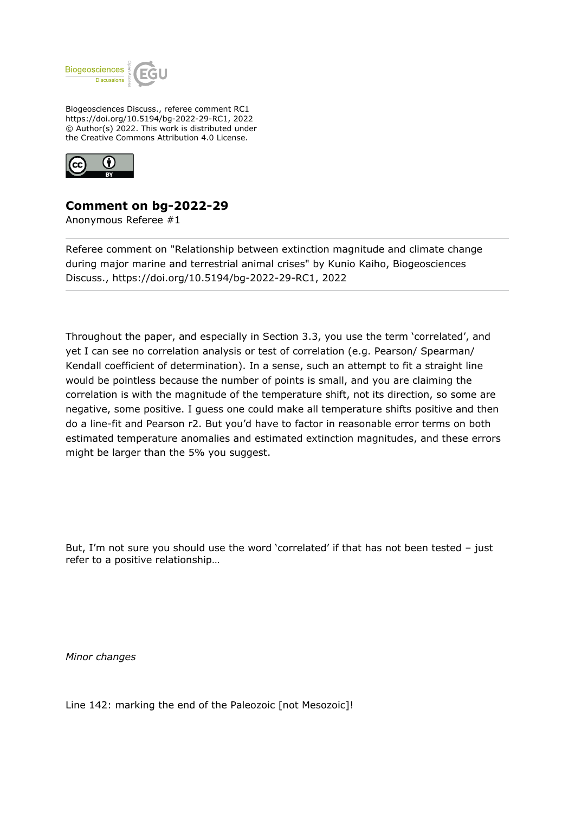

Biogeosciences Discuss., referee comment RC1 https://doi.org/10.5194/bg-2022-29-RC1, 2022 © Author(s) 2022. This work is distributed under the Creative Commons Attribution 4.0 License.



## **Comment on bg-2022-29**

Anonymous Referee #1

Referee comment on "Relationship between extinction magnitude and climate change during major marine and terrestrial animal crises" by Kunio Kaiho, Biogeosciences Discuss., https://doi.org/10.5194/bg-2022-29-RC1, 2022

Throughout the paper, and especially in Section 3.3, you use the term 'correlated', and yet I can see no correlation analysis or test of correlation (e.g. Pearson/ Spearman/ Kendall coefficient of determination). In a sense, such an attempt to fit a straight line would be pointless because the number of points is small, and you are claiming the correlation is with the magnitude of the temperature shift, not its direction, so some are negative, some positive. I guess one could make all temperature shifts positive and then do a line-fit and Pearson r2. But you'd have to factor in reasonable error terms on both estimated temperature anomalies and estimated extinction magnitudes, and these errors might be larger than the 5% you suggest.

But, I'm not sure you should use the word 'correlated' if that has not been tested – just refer to a positive relationship…

*Minor changes*

Line 142: marking the end of the Paleozoic [not Mesozoic]!